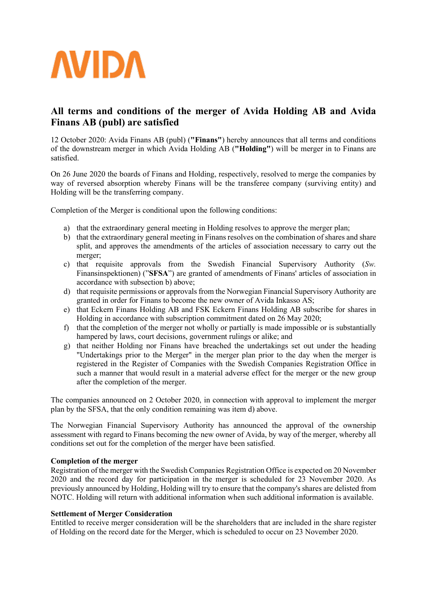# **AVIDA**

# **All terms and conditions of the merger of Avida Holding AB and Avida Finans AB (publ) are satisfied**

12 October 2020: Avida Finans AB (publ) (**"Finans"**) hereby announces that all terms and conditions of the downstream merger in which Avida Holding AB (**"Holding"**) will be merger in to Finans are satisfied.

On 26 June 2020 the boards of Finans and Holding, respectively, resolved to merge the companies by way of reversed absorption whereby Finans will be the transferee company (surviving entity) and Holding will be the transferring company.

Completion of the Merger is conditional upon the following conditions:

- a) that the extraordinary general meeting in Holding resolves to approve the merger plan;
- b) that the extraordinary general meeting in Finans resolves on the combination of shares and share split, and approves the amendments of the articles of association necessary to carry out the merger;
- c) that requisite approvals from the Swedish Financial Supervisory Authority (*Sw.* Finansinspektionen) ("**SFSA**") are granted of amendments of Finans' articles of association in accordance with subsection b) above;
- d) that requisite permissions or approvals from the Norwegian Financial Supervisory Authority are granted in order for Finans to become the new owner of Avida Inkasso AS;
- e) that Eckern Finans Holding AB and FSK Eckern Finans Holding AB subscribe for shares in Holding in accordance with subscription commitment dated on 26 May 2020;
- f) that the completion of the merger not wholly or partially is made impossible or is substantially hampered by laws, court decisions, government rulings or alike; and
- g) that neither Holding nor Finans have breached the undertakings set out under the heading "Undertakings prior to the Merger" in the merger plan prior to the day when the merger is registered in the Register of Companies with the Swedish Companies Registration Office in such a manner that would result in a material adverse effect for the merger or the new group after the completion of the merger.

The companies announced on 2 October 2020, in connection with approval to implement the merger plan by the SFSA, that the only condition remaining was item d) above.

The Norwegian Financial Supervisory Authority has announced the approval of the ownership assessment with regard to Finans becoming the new owner of Avida, by way of the merger, whereby all conditions set out for the completion of the merger have been satisfied.

#### **Completion of the merger**

Registration of the merger with the Swedish Companies Registration Office is expected on 20 November 2020 and the record day for participation in the merger is scheduled for 23 November 2020. As previously announced by Holding, Holding will try to ensure that the company's shares are delisted from NOTC. Holding will return with additional information when such additional information is available.

# **Settlement of Merger Consideration**

Entitled to receive merger consideration will be the shareholders that are included in the share register of Holding on the record date for the Merger, which is scheduled to occur on 23 November 2020.